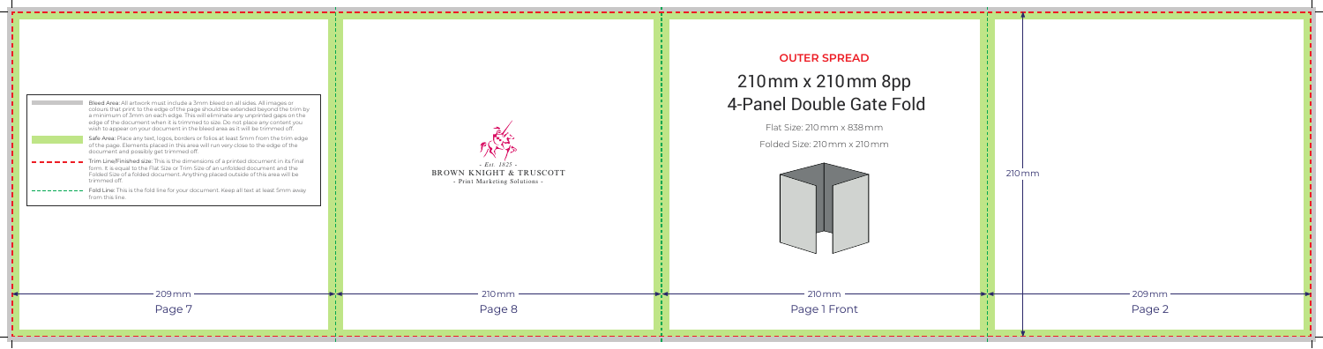